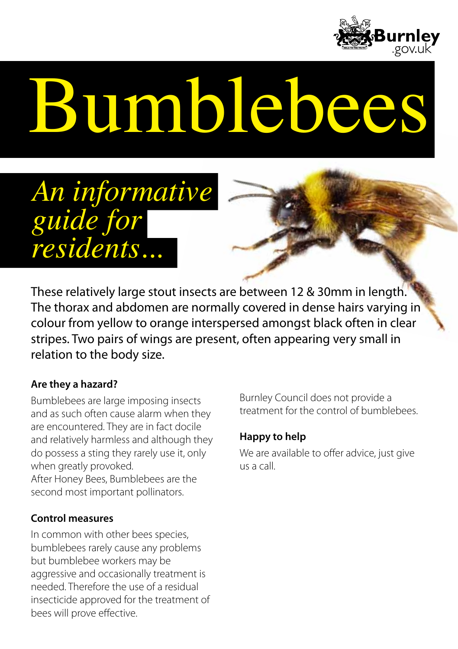

# Bumblebee



These relatively large stout insects are between 12 & 30mm in length. The thorax and abdomen are normally covered in dense hairs varying in colour from yellow to orange interspersed amongst black often in clear stripes. Two pairs of wings are present, often appearing very small in relation to the body size.

## **Are they a hazard?**

Bumblebees are large imposing insects and as such often cause alarm when they are encountered. They are in fact docile and relatively harmless and although they do possess a sting they rarely use it, only when greatly provoked.

After Honey Bees, Bumblebees are the second most important pollinators.

#### **Control measures**

In common with other bees species, bumblebees rarely cause any problems but bumblebee workers may be aggressive and occasionally treatment is needed. Therefore the use of a residual insecticide approved for the treatment of bees will prove effective.

Burnley Council does not provide a treatment for the control of bumblebees.

## **Happy to help**

We are available to offer advice, just give us a call.